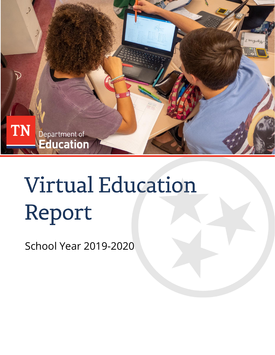

# **Virtual Education** Report

School Year 2019-2020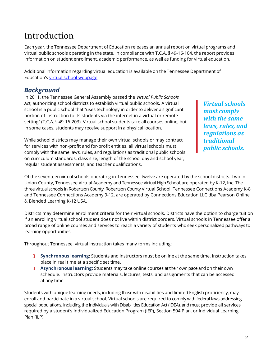# Introduction

Each year, the Tennessee Department of Education releases an annual report on virtual programs and virtual public schools operating in the state. In compliance with T.C.A. § 49-16-104, the report provides information on student enrollment, academic performance, as well as funding for virtual education.

Additional information regarding virtual education is available on the Tennessee Department of Education's [virtual school webpage.](https://www.tn.gov/education/school-options/virtual-schools.html)

#### *Background*

In 2011, the Tennessee General Assembly passed the *Virtual Public Schools Act*, authorizing school districts to establish virtual public schools. A virtual school is a public school that "uses technology in order to deliver a significant portion of instruction to its students via the internet in a virtual or remote setting" (T.C.A. § 49-16-203). Virtual school students take all courses online, but in some cases, students may receive support in a physical location.

While school districts may manage their own virtual schools or may contract for services with non-profit and for-profit entities, all virtual schools must comply with the same laws, rules, and regulations as traditional public schools on curriculum standards, class size, length of the school day and school year, regular student assessments, and teacher qualifications.

*Virtual schools must comply with the same laws, rules, and regulations as traditional public schools.*

Of the seventeen virtual schools operating in Tennessee, twelve are operated by the school districts. Two in Union County, Tennessee Virtual Academy and Tennessee Virtual High School, are operated by K-12, Inc. The three virtual schools in Robertson County, Robertson County Virtual School, Tennessee Connections Academy K-8 and Tennessee Connections Academy 9-12, are operated by Connections Education LLC dba Pearson Online & Blended Learning K-12 USA.

Districts may determine enrollment criteria for their virtual schools. Districts have the option to charge tuition if an enrolling virtual school student does not live within district borders. Virtual schools in Tennessee offer a broad range of online courses and services to reach a variety of students who seek personalized pathways to learning opportunities.

Throughout Tennessee, virtual instruction takes many forms including:

- **Synchronous learning:** Students and instructors must be online at the same time. Instruction takes place in real time at a specific set time.
- **Asynchronous learning:** Students may take online courses at their own pace and on their own schedule. Instructors provide materials, lectures, tests, and assignments that can be accessed at any time.

Students with unique learning needs, including those with disabilities and limited English proficiency, may enroll and participate in a virtual school. Virtual schools are required to comply with federal laws addressing special populations, including the Individuals with Disabilities Education Act (IDEA), and must provide all services required by a student's Individualized Education Program (IEP), Section 504 Plan, or Individual Learning Plan (ILP).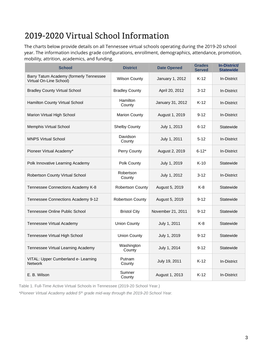# 2019-2020 Virtual School Information

The charts below provide details on all Tennessee virtual schools operating during the 2019-20 school year. The information includes grade configurations, enrollment, demographics, attendance, promotion, mobility, attrition, academics, and funding.

| <b>School</b>                                                      | <b>District</b>         | <b>Date Opened</b> | <b>Grades</b><br><b>Served</b> | <b>In-District/</b><br><b>Statewide</b> |
|--------------------------------------------------------------------|-------------------------|--------------------|--------------------------------|-----------------------------------------|
| Barry Tatum Academy (formerly Tennessee<br>Virtual On-Line School) | <b>Wilson County</b>    | January 1, 2012    | $K-12$                         | In-District                             |
| <b>Bradley County Virtual School</b>                               | <b>Bradley County</b>   | April 20, 2012     | $3 - 12$                       | In-District                             |
| Hamilton County Virtual School                                     | Hamilton<br>County      | January 31, 2012   | $K-12$                         | In-District                             |
| Marion Virtual High School                                         | <b>Marion County</b>    | August 1, 2019     | $9 - 12$                       | In-District                             |
| Memphis Virtual School                                             | <b>Shelby County</b>    | July 1, 2013       | $6 - 12$                       | Statewide                               |
| <b>MNPS Virtual School</b>                                         | Davidson<br>County      | July 1, 2011       | $5 - 12$                       | In-District                             |
| Pioneer Virtual Academy*                                           | Perry County            | August 2, 2019     | $6 - 12*$                      | In-District                             |
| Polk Innovative Learning Academy                                   | Polk County             | July 1, 2019       | $K-10$                         | Statewide                               |
| Robertson County Virtual School                                    | Robertson<br>County     | July 1, 2012       | $3 - 12$                       | In-District                             |
| Tennessee Connections Academy K-8                                  | <b>Robertson County</b> | August 5, 2019     | $K-8$                          | Statewide                               |
| Tennessee Connections Academy 9-12                                 | <b>Robertson County</b> | August 5, 2019     | $9 - 12$                       | Statewide                               |
| Tennessee Online Public School                                     | <b>Bristol City</b>     | November 21, 2011  | $9 - 12$                       | Statewide                               |
| Tennessee Virtual Academy                                          | <b>Union County</b>     | July 1, 2011       | K-8                            | Statewide                               |
| Tennessee Virtual High School                                      | <b>Union County</b>     | July 1, 2019       | $9 - 12$                       | Statewide                               |
| Tennessee Virtual Learning Academy                                 | Washington<br>County    | July 1, 2014       | $9 - 12$                       | Statewide                               |
| VITAL: Upper Cumberland e- Learning<br><b>Network</b>              | Putnam<br>County        | July 19, 2011      | $K-12$                         | In-District                             |
| E. B. Wilson                                                       | Sumner<br>County        | August 1, 2013     | $K-12$                         | In-District                             |

Table 1. Full-Time Active Virtual Schools in Tennessee (2019-20 School Year.)

*\*Pioneer Virtual Academy added 5th grade mid-way through the 2019-20 School Year.*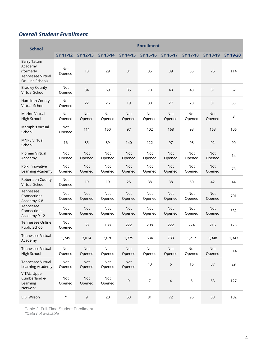#### *Overall Student Enrollment*

| <b>School</b>                                                                             | <b>Enrollment</b>    |                      |                      |                      |                      |                      |                      |               |          |
|-------------------------------------------------------------------------------------------|----------------------|----------------------|----------------------|----------------------|----------------------|----------------------|----------------------|---------------|----------|
|                                                                                           | <b>SY 11-12</b>      | SY 12-13             | SY 13-14             | SY 14-15             | SY 15-16             | SY 16-17             | <b>SY 17-18</b>      | SY 18-19      | SY 19-20 |
| <b>Barry Tatum</b><br>Academy<br>(formerly<br><b>Tennessee Virtual</b><br>On-Line School) | <b>Not</b><br>Opened | 18                   | 29                   | 31                   | 35                   | 39                   | 55                   | 75            | 114      |
| <b>Bradley County</b><br>Virtual School                                                   | <b>Not</b><br>Opened | 34                   | 69                   | 85                   | 70                   | 48                   | 43                   | 51            | 67       |
| Hamilton County<br>Virtual School                                                         | Not<br>Opened        | 22                   | 26                   | 19                   | 30                   | 27                   | 28                   | 31            | 35       |
| <b>Marion Virtual</b><br>High School                                                      | Not<br>Opened        | Not<br>Opened        | Not<br>Opened        | <b>Not</b><br>Opened | Not<br>Opened        | <b>Not</b><br>Opened | Not<br>Opened        | Not<br>Opened | 3        |
| Memphis Virtual<br>School                                                                 | Not<br>Opened        | 111                  | 150                  | 97                   | 102                  | 168                  | 93                   | 163           | 106      |
| <b>MNPS Virtual</b><br>School                                                             | 16                   | 85                   | 89                   | 140                  | 122                  | 97                   | 98                   | 92            | 90       |
| Pioneer Virtual<br>Academy                                                                | <b>Not</b><br>Opened | <b>Not</b><br>Opened | <b>Not</b><br>Opened | <b>Not</b><br>Opened | <b>Not</b><br>Opened | <b>Not</b><br>Opened | <b>Not</b><br>Opened | Not<br>Opened | 14       |
| Polk Innovative<br>Learning Academy                                                       | Not<br>Opened        | <b>Not</b><br>Opened | Not<br>Opened        | Not<br>Opened        | Not<br>Opened        | <b>Not</b><br>Opened | Not<br>Opened        | Not<br>Opened | 73       |
| <b>Robertson County</b><br>Virtual School                                                 | Not<br>Opened        | 19                   | 19                   | 25                   | 38                   | 38                   | 50                   | 42            | 44       |
| Tennessee<br>Connections<br>Academy K-8                                                   | Not<br>Opened        | <b>Not</b><br>Opened | Not<br>Opened        | <b>Not</b><br>Opened | Not<br>Opened        | <b>Not</b><br>Opened | Not<br>Opened        | Not<br>Opened | 701      |
| Tennessee<br>Connections<br>Academy 9-12                                                  | Not<br>Opened        | <b>Not</b><br>Opened | Not<br>Opened        | <b>Not</b><br>Opened | Not<br>Opened        | <b>Not</b><br>Opened | Not<br>Opened        | Not<br>Opened | 532      |
| Tennessee Online<br>Public School                                                         | Not<br>Opened        | 58                   | 138                  | 222                  | 208                  | 222                  | 224                  | 216           | 173      |
| <b>Tennessee Virtual</b><br>Academy                                                       | 1,749                | 3,014                | 2,676                | 1,379                | 634                  | 733                  | 1,217                | 1,348         | 1,343    |
| <b>Tennessee Virtual</b><br>High School                                                   | Not<br>Opened        | Not<br>Opened        | Not<br>Opened        | Not<br>Opened        | Not<br>Opened        | Not<br>Opened        | Not<br>Opened        | Not<br>Opened | 514      |
| <b>Tennessee Virtual</b><br>Learning Academy                                              | Not<br>Opened        | Not<br>Opened        | Not<br>Opened        | Not<br>Opened        | $10$                 | 6                    | 16                   | 37            | 29       |
| VITAL: Upper<br>Cumberland e-<br>Learning<br>Network                                      | Not<br>Opened        | Not<br>Opened        | Not<br>Opened        | $\mathsf 9$          | $\overline{7}$       | $\sqrt{4}$           | 5                    | 53            | 127      |
| E.B. Wilson                                                                               | $^\star$             | 9                    | 20                   | 53                   | 81                   | 72                   | 96                   | 58            | 102      |

Table 2. Full-Time Student Enrollment *\*Data not available*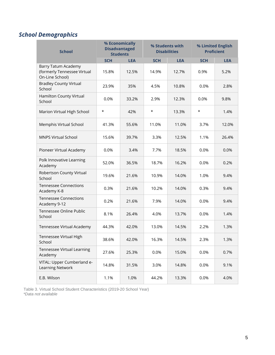### *School Demographics*

| <b>School</b>                                                         | % Economically<br><b>Disadvantaged</b><br><b>Students</b> |            | % Students with | <b>Disabilities</b> | % Limited English<br><b>Proficient</b> |            |  |
|-----------------------------------------------------------------------|-----------------------------------------------------------|------------|-----------------|---------------------|----------------------------------------|------------|--|
|                                                                       | <b>SCH</b>                                                | <b>LEA</b> | <b>SCH</b>      | <b>LEA</b>          | <b>SCH</b>                             | <b>LEA</b> |  |
| Barry Tatum Academy<br>(formerly Tennessee Virtual<br>On-Line School) | 15.8%                                                     | 12.5%      | 14.9%           | 12.7%               | 0.9%                                   | 5.2%       |  |
| <b>Bradley County Virtual</b><br>School                               | 23.9%                                                     | 35%        | 4.5%            | 10.8%               | 0.0%                                   | 2.8%       |  |
| Hamilton County Virtual<br>School                                     | 0.0%                                                      | 33.2%      | 2.9%            | 12.3%               | 0.0%                                   | 9.8%       |  |
| Marion Virtual High School                                            | $^\star$                                                  | 42%        | $^\star$        | 13.3%               | $^\star$                               | 1.4%       |  |
| Memphis Virtual School                                                | 41.3%                                                     | 55.6%      | 11.0%           | 11.0%               | 3.7%                                   | 12.0%      |  |
| <b>MNPS Virtual School</b>                                            | 15.6%                                                     | 39.7%      | 3.3%            | 12.5%               | 1.1%                                   | 26.4%      |  |
| Pioneer Virtual Academy                                               | 0.0%                                                      | 3.4%       | 7.7%            | 18.5%               | 0.0%                                   | 0.0%       |  |
| Polk Innovative Learning<br>Academy                                   | 52.0%                                                     | 36.5%      | 18.7%           | 16.2%               | 0.0%                                   | 0.2%       |  |
| Robertson County Virtual<br>School                                    | 19.6%                                                     | 21.6%      | 10.9%           | 14.0%               | 1.0%                                   | 9.4%       |  |
| <b>Tennessee Connections</b><br>Academy K-8                           | 0.3%                                                      | 21.6%      | 10.2%           | 14.0%               | 0.3%                                   | 9.4%       |  |
| <b>Tennessee Connections</b><br>Academy 9-12                          | 0.2%                                                      | 21.6%      | 7.9%            | 14.0%               | 0.0%                                   | 9.4%       |  |
| Tennessee Online Public<br>School                                     | 8.1%                                                      | 26.4%      | 4.0%            | 13.7%               | 0.0%                                   | 1.4%       |  |
| Tennessee Virtual Academy                                             | 44.3%                                                     | 42.0%      | 13.0%           | 14.5%               | 2.2%                                   | 1.3%       |  |
| Tennessee Virtual High<br>School                                      | 38.6%                                                     | 42.0%      | 16.3%           | 14.5%               | 2.3%                                   | 1.3%       |  |
| Tennessee Virtual Learning<br>Academy                                 | 27.6%                                                     | 25.3%      | 0.0%            | 15.0%               | 0.0%                                   | 0.7%       |  |
| VITAL: Upper Cumberland e-<br>Learning Network                        | 14.8%                                                     | 31.5%      | 3.0%            | 14.8%               | 0.0%                                   | 9.1%       |  |
| E.B. Wilson                                                           | 1.1%                                                      | 1.0%       | 44.2%           | 13.3%               | 0.0%                                   | 4.0%       |  |

Table 3. Virtual School Student Characteristics (2019-20 School Year) *\*Data not available*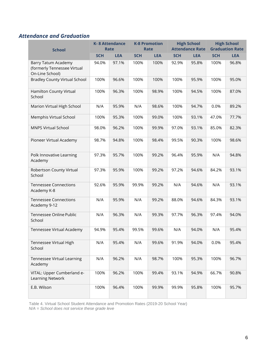#### *Attendance and Graduation*

| <b>School</b>                                                         | <b>K-8 Attendance</b><br><b>Rate</b> |            | <b>K-8 Promotion</b><br><b>Rate</b> |            |            | <b>High School</b><br><b>Attendance Rate</b> | <b>High School</b><br><b>Graduation Rate</b> |            |
|-----------------------------------------------------------------------|--------------------------------------|------------|-------------------------------------|------------|------------|----------------------------------------------|----------------------------------------------|------------|
|                                                                       | <b>SCH</b>                           | <b>LEA</b> | <b>SCH</b>                          | <b>LEA</b> | <b>SCH</b> | <b>LEA</b>                                   | <b>SCH</b>                                   | <b>LEA</b> |
| Barry Tatum Academy<br>(formerly Tennessee Virtual<br>On-Line School) | 94.0%                                | 97.1%      | 100%                                | 100%       | 92.9%      | 95.8%                                        | 100%                                         | 96.8%      |
| <b>Bradley County Virtual School</b>                                  | 100%                                 | 96.6%      | 100%                                | 100%       | 100%       | 95.9%                                        | 100%                                         | 95.0%      |
| Hamilton County Virtual<br>School                                     | 100%                                 | 96.3%      | 100%                                | 98.9%      | 100%       | 94.5%                                        | 100%                                         | 87.0%      |
| Marion Virtual High School                                            | N/A                                  | 95.9%      | N/A                                 | 98.6%      | 100%       | 94.7%                                        | 0.0%                                         | 89.2%      |
| Memphis Virtual School                                                | 100%                                 | 95.3%      | 100%                                | 99.0%      | 100%       | 93.1%                                        | 47.0%                                        | 77.7%      |
| <b>MNPS Virtual School</b>                                            | 98.0%                                | 96.2%      | 100%                                | 99.9%      | 97.0%      | 93.1%                                        | 85.0%                                        | 82.3%      |
| Pioneer Virtual Academy                                               | 98.7%                                | 94.8%      | 100%                                | 98.4%      | 99.5%      | 90.3%                                        | 100%                                         | 98.6%      |
| Polk Innovative Learning<br>Academy                                   | 97.3%                                | 95.7%      | 100%                                | 99.2%      | 96.4%      | 95.9%                                        | N/A                                          | 94.8%      |
| Robertson County Virtual<br>School                                    | 97.3%                                | 95.9%      | 100%                                | 99.2%      | 97.2%      | 94.6%                                        | 84.2%                                        | 93.1%      |
| <b>Tennessee Connections</b><br>Academy K-8                           | 92.6%                                | 95.9%      | 99.9%                               | 99.2%      | N/A        | 94.6%                                        | N/A                                          | 93.1%      |
| <b>Tennessee Connections</b><br>Academy 9-12                          | N/A                                  | 95.9%      | N/A                                 | 99.2%      | 88.0%      | 94.6%                                        | 84.3%                                        | 93.1%      |
| Tennessee Online Public<br>School                                     | N/A                                  | 96.3%      | N/A                                 | 99.3%      | 97.7%      | 96.3%                                        | 97.4%                                        | 94.0%      |
| Tennessee Virtual Academy                                             | 94.9%                                | 95.4%      | 99.5%                               | 99.6%      | N/A        | 94.0%                                        | N/A                                          | 95.4%      |
| Tennessee Virtual High<br>School                                      | N/A                                  | 95.4%      | N/A                                 | 99.6%      | 91.9%      | 94.0%                                        | 0.0%                                         | 95.4%      |
| Tennessee Virtual Learning<br>Academy                                 | N/A                                  | 96.2%      | N/A                                 | 98.7%      | 100%       | 95.3%                                        | 100%                                         | 96.7%      |
| VITAL: Upper Cumberland e-<br>Learning Network                        | 100%                                 | 96.2%      | 100%                                | 99.4%      | 93.1%      | 94.9%                                        | 66.7%                                        | 90.8%      |
| E.B. Wilson                                                           | 100%                                 | 96.4%      | 100%                                | 99.9%      | 99.9%      | 95.8%                                        | 100%                                         | 95.7%      |

Table 4. Virtual School Student Attendance and Promotion Rates (2019-20 School Year)

*N/A = School does not service these grade leve*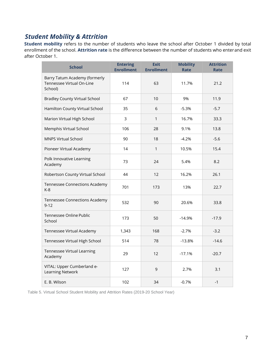#### *Student Mobility & Attrition*

**Student mobility** refers to the number of students who leave the school after October 1 divided by total enrollment of the school. **Attrition rate** is the difference between the number of students who enterand exit after October 1.

| <b>School</b>                                                         | <b>Entering</b><br><b>Enrollment</b> | <b>Exit</b><br><b>Enrollment</b> | <b>Mobility</b><br><b>Rate</b> | <b>Attrition</b><br>Rate |
|-----------------------------------------------------------------------|--------------------------------------|----------------------------------|--------------------------------|--------------------------|
| Barry Tatum Academy (formerly<br>Tennessee Virtual On-Line<br>School) | 114                                  | 63                               | 11.7%                          | 21.2                     |
| <b>Bradley County Virtual School</b>                                  | 67                                   | 10                               | 9%                             | 11.9                     |
| Hamilton County Virtual School                                        | 35                                   | 6                                | $-5.3%$                        | $-5.7$                   |
| Marion Virtual High School                                            | 3                                    | 1                                | 16.7%                          | 33.3                     |
| Memphis Virtual School                                                | 106                                  | 28                               | 9.1%                           | 13.8                     |
| <b>MNPS Virtual School</b>                                            | 90                                   | 18                               | $-4.2%$                        | $-5.6$                   |
| Pioneer Virtual Academy                                               | 14                                   | $\mathbf{1}$                     | 10.5%                          | 15.4                     |
| Polk Innovative Learning<br>Academy                                   | 73                                   | 24                               | 5.4%                           | 8.2                      |
| Robertson County Virtual School                                       | 44                                   | 12                               | 16.2%                          | 26.1                     |
| <b>Tennessee Connections Academy</b><br>$K-8$                         | 701                                  | 173                              | 13%                            | 22.7                     |
| <b>Tennessee Connections Academy</b><br>$9 - 12$                      | 532                                  | 90                               | 20.6%                          | 33.8                     |
| Tennessee Online Public<br>School                                     | 173                                  | 50                               | $-14.9%$                       | $-17.9$                  |
| Tennessee Virtual Academy                                             | 1,343                                | 168                              | $-2.7%$                        | $-3.2$                   |
| Tennessee Virtual High School                                         | 514                                  | 78                               | $-13.8%$                       | $-14.6$                  |
| Tennessee Virtual Learning<br>Academy                                 | 29                                   | 12                               | $-17.1%$                       | $-20.7$                  |
| VITAL: Upper Cumberland e-<br>Learning Network                        | 127                                  | 9                                | 2.7%                           | 3.1                      |
| E. B. Wilson                                                          | 102                                  | 34                               | $-0.7%$                        | $-1$                     |

Table 5. Virtual School Student Mobility and Attrition Rates (2019-20 School Year)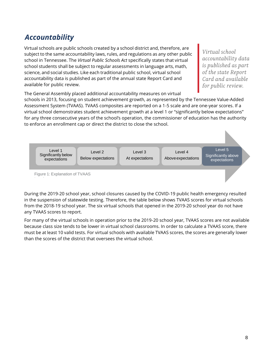## *Accountability*

Virtual schools are public schools created by a school district and, therefore, are subject to the same accountability laws, rules, and regulations as any other public school in Tennessee. The *Virtual Public Schools Act* specifically states that virtual school students shall be subject to regular assessments in language arts, math, science, and social studies. Like each traditional public school, virtual school accountability data is published as part of the annual state Report Card and available for public review.

Virtual school accountability data is published as part of the state Report Card and available for public review.

The General Assembly placed additional accountability measures on virtual

schools in 2013, focusing on student achievement growth, as represented by the Tennessee Value-Added Assessment System (TVAAS). TVAAS composites are reported on a 1-5 scale and are one-year scores. If a virtual school demonstrates student achievement growth at a level 1 or "significantly below expectations" for any three consecutive years of the school's operation, the commissioner of education has the authority to enforce an enrollment cap or direct the district to close the school.



During the 2019-20 school year, school closures caused by the COVID-19 public health emergency resulted in the suspension of statewide testing. Therefore, the table below shows TVAAS scores for virtual schools from the 2018-19 school year. The six virtual schools that opened in the 2019-20 school year do not have any TVAAS scores to report.

For many of the virtual schools in operation prior to the 2019-20 school year, TVAAS scores are not available because class size tends to be lower in virtual school classrooms. In order to calculate a TVAAS score, there must be at least 10 valid tests. For virtual schools with available TVAAS scores, the scores are generally lower than the scores of the district that oversees the virtual school.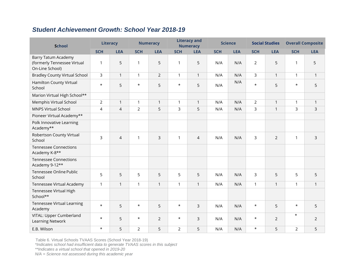#### *Student Achievement Growth: School Year 2018-19*

| <b>School</b>                                                                | <b>Literacy</b> |                | <b>Numeracy</b> |                | <b>Literacy and</b><br><b>Numeracy</b> |                | <b>Science</b> |            | <b>Social Studies</b> |                | <b>Overall Composite</b> |                |
|------------------------------------------------------------------------------|-----------------|----------------|-----------------|----------------|----------------------------------------|----------------|----------------|------------|-----------------------|----------------|--------------------------|----------------|
|                                                                              | <b>SCH</b>      | <b>LEA</b>     | <b>SCH</b>      | <b>LEA</b>     | <b>SCH</b>                             | <b>LEA</b>     | <b>SCH</b>     | <b>LEA</b> | <b>SCH</b>            | <b>LEA</b>     | <b>SCH</b>               | <b>LEA</b>     |
| <b>Barry Tatum Academy</b><br>(formerly Tennessee Virtual<br>On-Line School) | 1               | 5              | 1               | 5              | 1                                      | 5              | N/A            | N/A        | $\overline{2}$        | 5              | 1                        | 5              |
| <b>Bradley County Virtual School</b>                                         | 3               | $\mathbf{1}$   | $\mathbf{1}$    | $\overline{2}$ | $\mathbf{1}$                           | $\mathbf{1}$   | N/A            | N/A        | 3                     | $\mathbf{1}$   | $\mathbf{1}$             | $\mathbf{1}$   |
| Hamilton County Virtual<br>School                                            | $\star$         | 5              | $\star$         | 5              | $\star$                                | 5              | N/A            | N/A        | $\star$               | 5              | $\star$                  | 5              |
| Marion Virtual High School**                                                 |                 |                |                 |                |                                        |                |                |            |                       |                |                          |                |
| Memphis Virtual School                                                       | $\overline{2}$  | $\mathbf{1}$   | $\mathbf{1}$    | $\mathbf{1}$   | $\mathbf{1}$                           | $\mathbf{1}$   | N/A            | N/A        | $\overline{2}$        | $\mathbf{1}$   | $\mathbf{1}$             | $\mathbf{1}$   |
| <b>MNPS Virtual School</b>                                                   | 4               | $\overline{4}$ | 2               | 5              | 3                                      | 5              | N/A            | N/A        | 3                     | $\mathbf{1}$   | 3                        | 3              |
| Pioneer Virtual Academy**                                                    |                 |                |                 |                |                                        |                |                |            |                       |                |                          |                |
| Polk Innovative Learning<br>Academy**                                        |                 |                |                 |                |                                        |                |                |            |                       |                |                          |                |
| Robertson County Virtual<br>School                                           | 3               | $\overline{4}$ | 1               | 3              | 1                                      | $\overline{4}$ | N/A            | N/A        | 3                     | $\overline{2}$ | 1                        | 3              |
| <b>Tennessee Connections</b><br>Academy K-8**                                |                 |                |                 |                |                                        |                |                |            |                       |                |                          |                |
| <b>Tennessee Connections</b><br>Academy 9-12**                               |                 |                |                 |                |                                        |                |                |            |                       |                |                          |                |
| Tennessee Online Public<br>School                                            | 5               | 5              | 5               | 5              | 5                                      | 5              | N/A            | N/A        | 3                     | 5              | 5                        | 5              |
| Tennessee Virtual Academy                                                    | $\mathbf{1}$    | $\mathbf{1}$   | $\mathbf{1}$    | $\overline{1}$ | $\mathbf{1}$                           | $\mathbf{1}$   | N/A            | N/A        | $\mathbf{1}$          | $\mathbf{1}$   | 1                        | $\mathbf{1}$   |
| Tennessee Virtual High<br>School**                                           |                 |                |                 |                |                                        |                |                |            |                       |                |                          |                |
| <b>Tennessee Virtual Learning</b><br>Academy                                 | $\star$         | 5              | $\star$         | 5              | $\star$                                | 3              | N/A            | N/A        | $\star$               | 5              | $\star$                  | 5              |
| VITAL: Upper Cumberland<br>Learning Network                                  | $\star$         | 5              | $\star$         | $\overline{2}$ | $\star$                                | 3              | N/A            | N/A        | $\star$               | $\overline{2}$ | $^\star$                 | $\overline{2}$ |
| E.B. Wilson                                                                  | $\star$         | 5              | $\overline{2}$  | 5              | $\overline{2}$                         | 5              | N/A            | N/A        | $\star$               | 5              | $\overline{2}$           | 5              |

Table 6. Virtual Schools TVAAS Scores (School Year 2018-19)

*\*Indicates school had insufficient data to generate TVAAS scores in this subject*

*\*\*Indicates a virtual school that opened in 2019-20*

*N/A = Science not assessed during this academic year*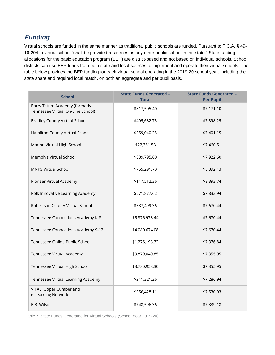#### *Funding*

Virtual schools are funded in the same manner as traditional public schools are funded. Pursuant to T.C.A. § 49- 16-204, a virtual school "shall be provided resources as any other public school in the state." State funding allocations for the basic education program (BEP) are district-based and not based on individual schools. School districts can use BEP funds from both state and local sources to implement and operate their virtual schools. The table below provides the BEP funding for each virtual school operating in the 2019-20 school year, including the state share and required local match, on both an aggregate and per pupil basis.

| <b>School</b>                                                      | <b>State Funds Generated -</b><br><b>Total</b> | <b>State Funds Generated -</b><br><b>Per Pupil</b> |
|--------------------------------------------------------------------|------------------------------------------------|----------------------------------------------------|
| Barry Tatum Academy (formerly<br>Tennessee Virtual On-Line School) | \$817,505.40                                   | \$7,171.10                                         |
| <b>Bradley County Virtual School</b>                               | \$495,682.75                                   | \$7,398.25                                         |
| Hamilton County Virtual School                                     | \$259,040.25                                   | \$7,401.15                                         |
| Marion Virtual High School                                         | \$22,381.53                                    | \$7,460.51                                         |
| Memphis Virtual School                                             | \$839,795.60                                   | \$7,922.60                                         |
| <b>MNPS Virtual School</b>                                         | \$755,291.70                                   | \$8,392.13                                         |
| Pioneer Virtual Academy                                            | \$117,512.36                                   | \$8,393.74                                         |
| Polk Innovative Learning Academy                                   | \$571,877.62                                   | \$7,833.94                                         |
| Robertson County Virtual School                                    | \$337,499.36                                   | \$7,670.44                                         |
| Tennessee Connections Academy K-8                                  | \$5,376,978.44                                 | \$7,670.44                                         |
| Tennessee Connections Academy 9-12                                 | \$4,080,674.08                                 | \$7,670.44                                         |
| Tennessee Online Public School                                     | \$1,276,193.32                                 | \$7,376.84                                         |
| Tennessee Virtual Academy                                          | \$9,879,040.85                                 | \$7,355.95                                         |
| Tennessee Virtual High School                                      | \$3,780,958.30                                 | \$7,355.95                                         |
| Tennessee Virtual Learning Academy                                 | \$211,321.26                                   | \$7,286.94                                         |
| VITAL: Upper Cumberland<br>e-Learning Network                      | \$956,428.11                                   | \$7,530.93                                         |
| E.B. Wilson                                                        | \$748,596.36                                   | \$7,339.18                                         |

Table 7. State Funds Generated for Virtual Schools (School Year 2019-20)